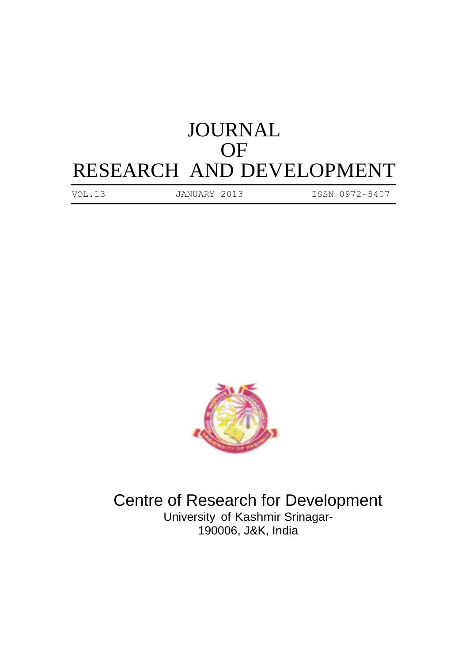## JOURNAL OF RESEARCH AND DEVELOPMENT

VOL.13 JANUARY 2013 ISSN 0972-5407



Centre of Research for Development University of Kashmir Srinagar-190006, J&K, India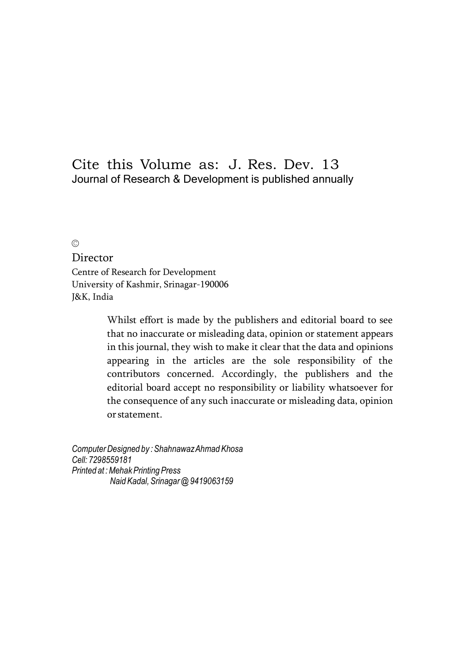### Cite this Volume as: J. Res. Dev. 13 Journal of Research & Development is published annually

©

Director Centre of Research for Development University of Kashmir, Srinagar-190006 J&K, India

> Whilst effort is made by the publishers and editorial board to see that no inaccurate or misleading data, opinion or statement appears in this journal, they wish to make it clear that the data and opinions appearing in the articles are the sole responsibility of the contributors concerned. Accordingly, the publishers and the editorial board accept no responsibility or liability whatsoever for the consequence of any such inaccurate or misleading data, opinion orstatement.

*ComputerDesigned by :ShahnawazAhmad Khosa Cell: 7298559181 Printed at :MehakPrinting Press Naid Kadal,Srinagar @9419063159*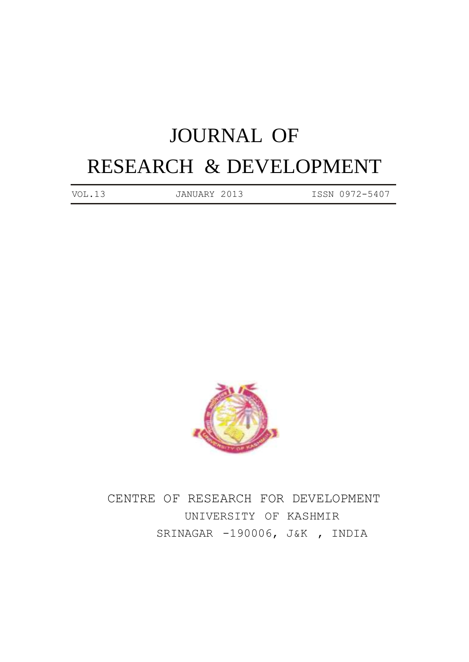# JOURNAL OF RESEARCH & DEVELOPMENT

VOL.13 JANUARY 2013 ISSN 0972-5407



CENTRE OF RESEARCH FOR DEVELOPMENT UNIVERSITY OF KASHMIR SRINAGAR -190006, J&K , INDIA